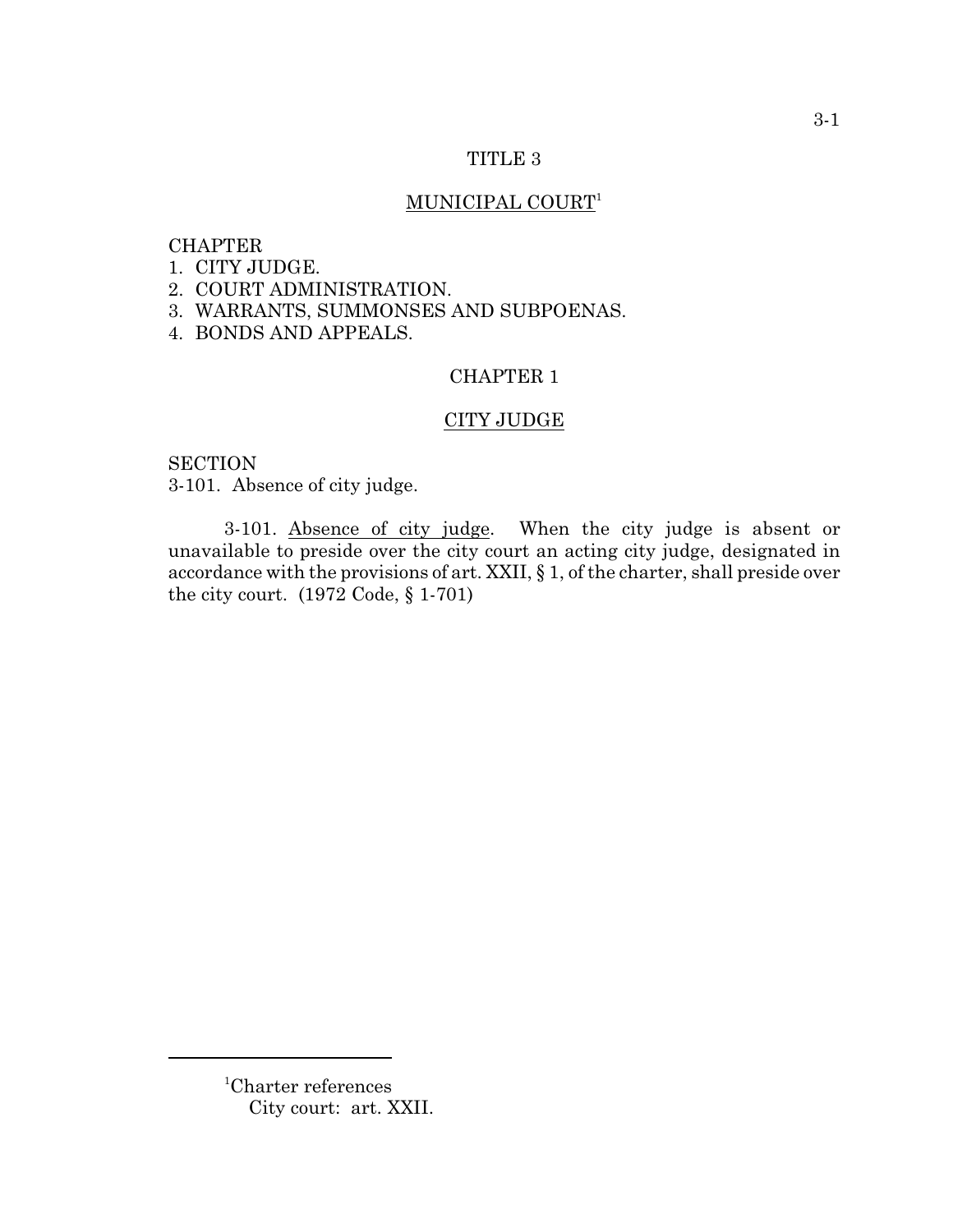### TITLE 3

# MUNICIPAL COURT<sup>1</sup>

## CHAPTER

- 1. CITY JUDGE.
- 2. COURT ADMINISTRATION.
- 3. WARRANTS, SUMMONSES AND SUBPOENAS.
- 4. BONDS AND APPEALS.

## CHAPTER 1

### CITY JUDGE

**SECTION** 3-101. Absence of city judge.

3-101. Absence of city judge. When the city judge is absent or unavailable to preside over the city court an acting city judge, designated in accordance with the provisions of art. XXII, § 1, of the charter, shall preside over the city court. (1972 Code, § 1-701)

<sup>&</sup>lt;sup>1</sup>Charter references City court: art. XXII.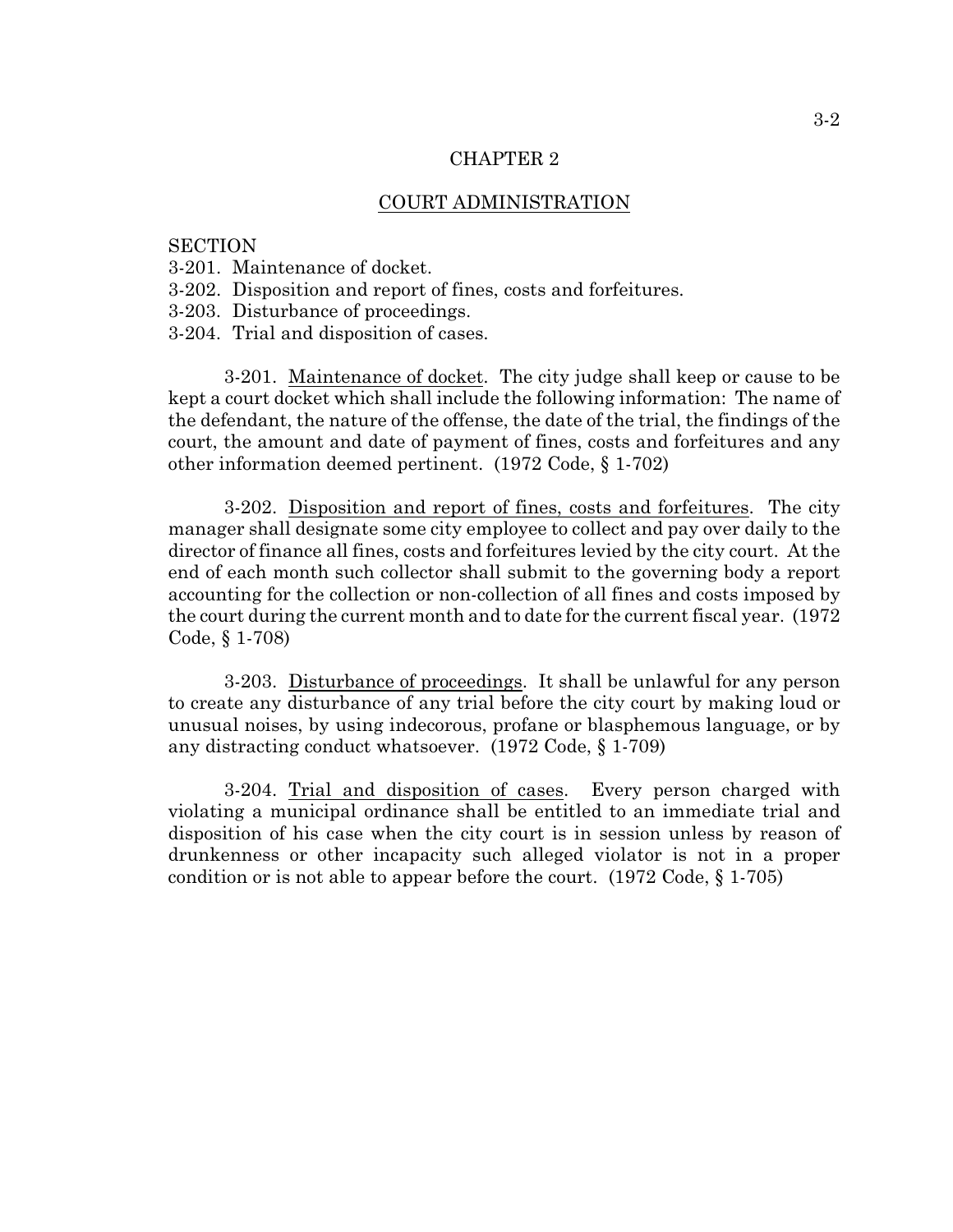## CHAPTER 2

#### COURT ADMINISTRATION

#### **SECTION**

- 3-201. Maintenance of docket.
- 3-202. Disposition and report of fines, costs and forfeitures.
- 3-203. Disturbance of proceedings.
- 3-204. Trial and disposition of cases.

3-201. Maintenance of docket. The city judge shall keep or cause to be kept a court docket which shall include the following information: The name of the defendant, the nature of the offense, the date of the trial, the findings of the court, the amount and date of payment of fines, costs and forfeitures and any other information deemed pertinent. (1972 Code, § 1-702)

3-202. Disposition and report of fines, costs and forfeitures. The city manager shall designate some city employee to collect and pay over daily to the director of finance all fines, costs and forfeitures levied by the city court. At the end of each month such collector shall submit to the governing body a report accounting for the collection or non-collection of all fines and costs imposed by the court during the current month and to date for the current fiscal year. (1972 Code, § 1-708)

3-203. Disturbance of proceedings. It shall be unlawful for any person to create any disturbance of any trial before the city court by making loud or unusual noises, by using indecorous, profane or blasphemous language, or by any distracting conduct whatsoever. (1972 Code, § 1-709)

3-204. Trial and disposition of cases. Every person charged with violating a municipal ordinance shall be entitled to an immediate trial and disposition of his case when the city court is in session unless by reason of drunkenness or other incapacity such alleged violator is not in a proper condition or is not able to appear before the court.  $(1972 \text{ Code}, \S 1-705)$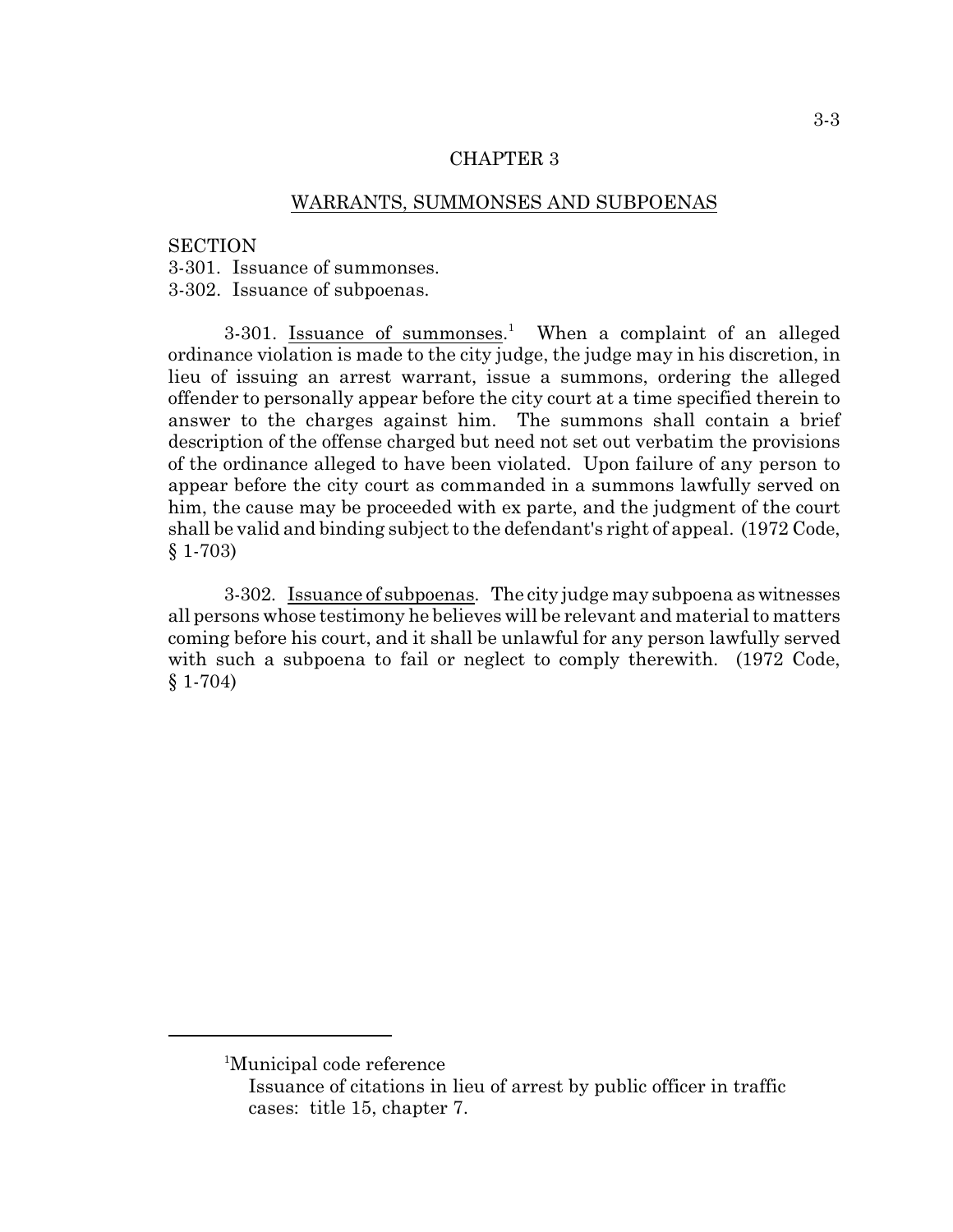## CHAPTER 3

## WARRANTS, SUMMONSES AND SUBPOENAS

#### **SECTION**

3-301. Issuance of summonses.

3-302. Issuance of subpoenas.

3-301. Issuance of summonses.<sup>1</sup> When a complaint of an alleged ordinance violation is made to the city judge, the judge may in his discretion, in lieu of issuing an arrest warrant, issue a summons, ordering the alleged offender to personally appear before the city court at a time specified therein to answer to the charges against him. The summons shall contain a brief description of the offense charged but need not set out verbatim the provisions of the ordinance alleged to have been violated. Upon failure of any person to appear before the city court as commanded in a summons lawfully served on him, the cause may be proceeded with ex parte, and the judgment of the court shall be valid and binding subject to the defendant's right of appeal. (1972 Code, § 1-703)

3-302. Issuance of subpoenas. The city judge may subpoena as witnesses all persons whose testimony he believes will be relevant and material to matters coming before his court, and it shall be unlawful for any person lawfully served with such a subpoena to fail or neglect to comply therewith. (1972 Code, § 1-704)

<sup>&</sup>lt;sup>1</sup>Municipal code reference

Issuance of citations in lieu of arrest by public officer in traffic cases: title 15, chapter 7.